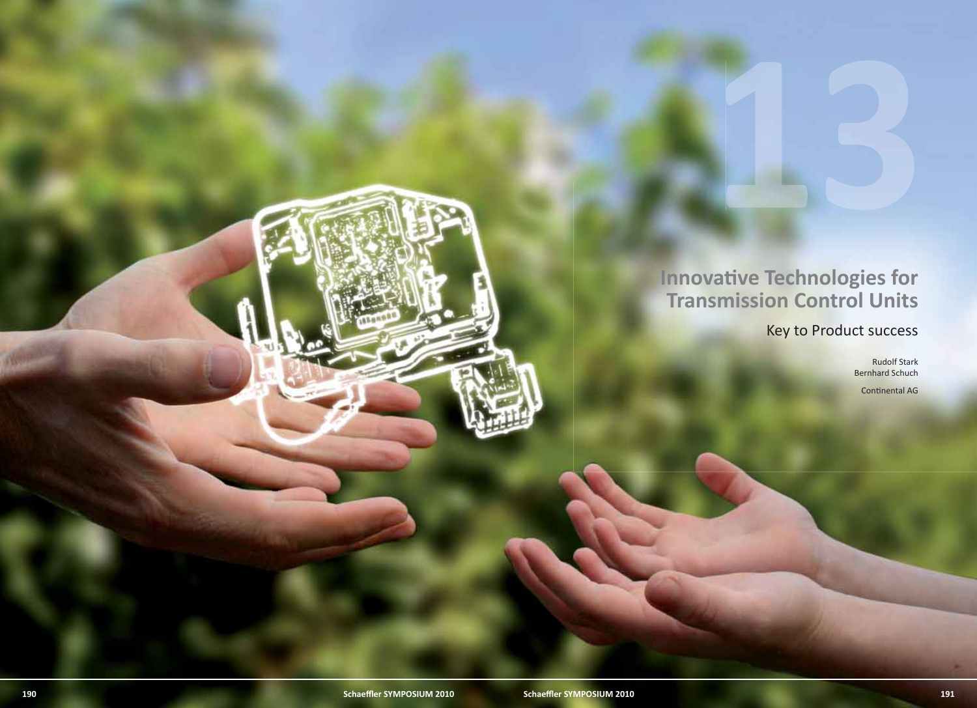## **Innovati ve Technologies for Transmission Control Units**

Key to Product success

Rudolf Stark Bernhard Schuch

Continental AG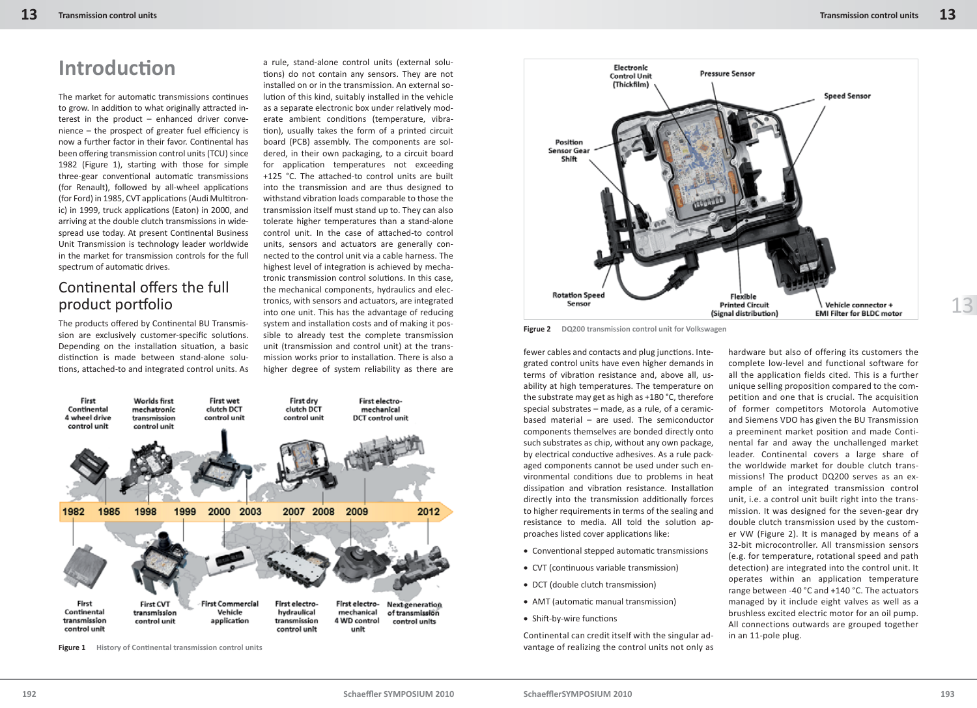## **Introducti on**

The market for automatic transmissions continues to grow. In addition to what originally attracted interest in the product – enhanced driver conve $n$ ience – the prospect of greater fuel efficiency is now a further factor in their favor. Continental has been offering transmission control units (TCU) since 1982 (Figure 1), starting with those for simple three-gear conventional automatic transmissions (for Renault), followed by all-wheel applications (for Ford) in 1985, CVT applications (Audi Multitronic) in 1999, truck applications (Eaton) in 2000, and arriving at the double clutch transmissions in widespread use today. At present Continental Business Unit Transmission is technology leader worldwide in the market for transmission controls for the full spectrum of automatic drives.

#### Continental offers the full product portfolio

The products offered by Continental BU Transmission are exclusively customer-specific solutions. Depending on the installation situation, a basic distinction is made between stand-alone solutions, attached-to and integrated control units. As

a rule, stand-alone control units (external solutions) do not contain any sensors. They are not installed on or in the transmission. An external solution of this kind, suitably installed in the vehicle as a separate electronic box under relatively moderate ambient conditions (temperature, vibration), usually takes the form of a printed circuit board (PCB) assembly. The components are soldered, in their own packaging, to a circuit board for application temperatures not exceeding +125 °C. The attached-to control units are built into the transmission and are thus designed to withstand vibration loads comparable to those the transmission itself must stand up to. They can also tolerate higher temperatures than a stand-alone control unit. In the case of attached-to control units, sensors and actuators are generally connected to the control unit via a cable harness. The highest level of integration is achieved by mechatronic transmission control solutions. In this case, the mechanical components, hydraulics and electronics, with sensors and actuators, are integrated into one unit. This has the advantage of reducing system and installation costs and of making it possible to already test the complete transmission unit (transmission and control unit) at the transmission works prior to installation. There is also a higher degree of system reliability as there are



**Figure 1** History of Continental transmission control units



**Figrue 2 DQ200 transmission control unit for Volkswagen**

fewer cables and contacts and plug junctions. Integrated control units have even higher demands in terms of vibration resistance and, above all, usability at high temperatures. The temperature on the substrate may get as high as +180 °C, therefore special substrates – made, as a rule, of a ceramicbased material – are used. The semiconductor components themselves are bonded directly onto such substrates as chip, without any own package, by electrical conductive adhesives. As a rule packaged components cannot be used under such environmental conditions due to problems in heat dissipation and vibration resistance. Installation directly into the transmission additionally forces to higher requirements in terms of the sealing and resistance to media. All told the solution approaches listed cover applications like:

- $\bullet$  Conventional stepped automatic transmissions
- CVT (continuous variable transmission)
- DCT (double clutch transmission)
- AMT (automatic manual transmission)
- Shift-by-wire functions

Continental can credit itself with the singular advantage of realizing the control units not only as

hardware but also of offering its customers the complete low-level and functional software for all the application fields cited. This is a further unique selling proposition compared to the competition and one that is crucial. The acquisition of former competitors Motorola Automotive and Siemens VDO has given the BU Transmission a preeminent market position and made Continental far and away the unchallenged market leader. Continental covers a large share of the worldwide market for double clutch transmissions! The product DQ200 serves as an example of an integrated transmission control unit, i.e. a control unit built right into the transmission. It was designed for the seven-gear dry double clutch transmission used by the customer VW (Figure 2). It is managed by means of a 32-bit microcontroller. All transmission sensors (e.g. for temperature, rotational speed and path detection) are integrated into the control unit. It operates within an application temperature range between -40 °C and +140 °C. The actuators managed by it include eight valves as well as a brushless excited electric motor for an oil pump. All connections outwards are grouped together in an 11-pole plug.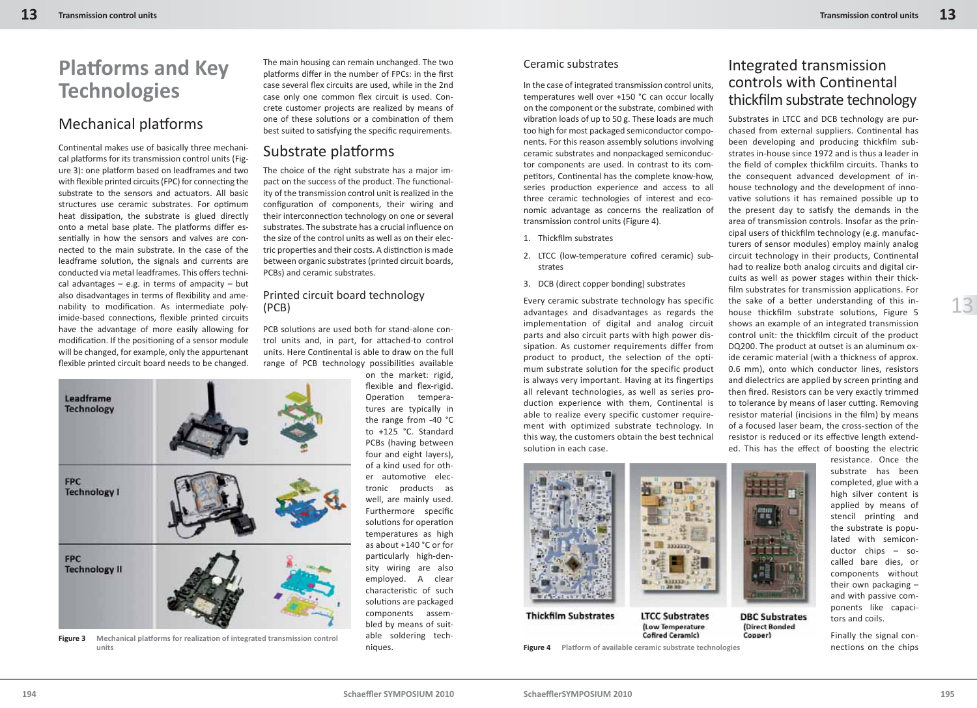# **Platforms and Key Technologies**

### Mechanical platforms

Continental makes use of basically three mechanical platforms for its transmission control units (Figure 3): one platform based on leadframes and two with flexible printed circuits (FPC) for connecting the substrate to the sensors and actuators. All basic structures use ceramic substrates. For optimum heat dissipation, the substrate is glued directly onto a metal base plate. The platforms differ essentially in how the sensors and valves are connected to the main substrate. In the case of the leadframe solution, the signals and currents are conducted via metal leadframes. This offers technical advantages  $-$  e.g. in terms of ampacity  $-$  but also disadvantages in terms of flexibility and amenability to modification. As intermediate polyimide-based connections, flexible printed circuits have the advantage of more easily allowing for modification. If the positioning of a sensor module will be changed, for example, only the appurtenant flexible printed circuit board needs to be changed.

Leadframe **Technology FPC Technology I FPC Technology II** 

**Figure 3** Mechanical platforms for realization of integrated transmission control units

The main housing can remain unchanged. The two platforms differ in the number of FPCs: in the first case several flex circuits are used, while in the 2nd case only one common flex circuit is used. Concrete customer projects are realized by means of one of these solutions or a combination of them best suited to satisfying the specific requirements.

#### Substrate platforms

The choice of the right substrate has a major impact on the success of the product. The functionality of the transmission control unit is realized in the configuration of components, their wiring and their interconnection technology on one or several substrates. The substrate has a crucial influence on the size of the control units as well as on their electric properties and their costs. A distinction is made between organic substrates (printed circuit boards, PCBs) and ceramic substrates.

#### Printed circuit board technology (PCB)

PCB solutions are used both for stand-alone control units and, in part, for attached-to control units. Here Continental is able to draw on the full range of PCB technology possibilities available on the market: rigid,

> flexible and flex-rigid. Operation temperatures are typically in the range from -40 °C to +125 °C. Standard PCBs (having between four and eight layers), of a kind used for other automotive electronic products as well, are mainly used. Furthermore specific solutions for operation temperatures as high as about +140 °C or for particularly high-density wiring are also employed. A clear characteristic of such solutions are packaged components assembled by means of suitable soldering techniques.

#### Ceramic substrates

In the case of integrated transmission control units, temperatures well over +150 °C can occur locally on the component or the substrate, combined with vibration loads of up to 50 g. These loads are much too high for most packaged semiconductor components. For this reason assembly solutions involving ceramic substrates and nonpackaged semiconductor components are used. In contrast to its competitors, Continental has the complete know-how, series production experience and access to all three ceramic technologies of interest and economic advantage as concerns the realization of transmission control units (Figure 4).

- 1. Thickfilm substrates
- 2. LTCC (low-temperature cofired ceramic) substrates
- 3. DCB (direct copper bonding) substrates

Every ceramic substrate technology has specific advantages and disadvantages as regards the implementation of digital and analog circuit parts and also circuit parts with high power dissipation. As customer requirements differ from product to product, the selection of the optimum substrate solution for the specific product is always very important. Having at its fingertips all relevant technologies, as well as series production experience with them, Continental is able to realize every specific customer requirement with optimized substrate technology. In this way, the customers obtain the best technical solution in each case.

#### Integrated transmission controls with Continental thickfilm substrate technology

Substrates in LTCC and DCB technology are purchased from external suppliers. Continental has been developing and producing thickfilm substrates in-house since 1972 and is thus a leader in the field of complex thickfilm circuits. Thanks to the consequent advanced development of inhouse technology and the development of innovative solutions it has remained possible up to the present day to satisfy the demands in the area of transmission controls. Insofar as the principal users of thickfilm technology (e.g. manufacturers of sensor modules) employ mainly analog circuit technology in their products, Continental had to realize both analog circuits and digital circuits as well as power stages within their thickfilm substrates for transmission applications. For the sake of a better understanding of this inhouse thickfilm substrate solutions, Figure 5 shows an example of an integrated transmission control unit: the thickfilm circuit of the product DQ200. The product at outset is an aluminum oxide ceramic material (with a thickness of approx. 0.6 mm), onto which conductor lines, resistors and dielectrics are applied by screen printing and then fired. Resistors can be very exactly trimmed to tolerance by means of laser cutting. Removing resistor material (incisions in the film) by means of a focused laser beam, the cross-section of the resistor is reduced or its effective length extended. This has the effect of boosting the electric



**Thickfilm Substrates LTCC Substrates** (Low Temperature **Cofired Ceramic)** 

**Figure 4** Platform of available ceramic substrate technologies

resistance. Once the substrate has been completed, glue with a high silver content is applied by means of stencil printing and the substrate is populated with semiconductor chips – socalled bare dies, or components without their own packaging – and with passive components like capacitors and coils.

Finally the signal connections on the chips

**DBC Substrates** 

(Direct Bonded

Copper)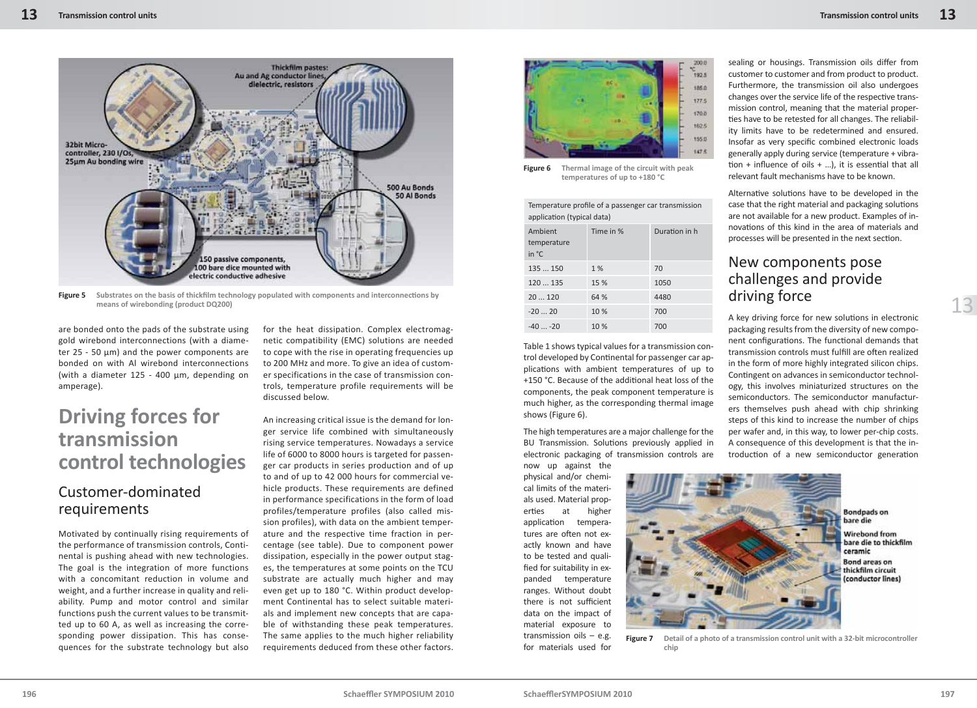

**Figure 5** Substrates on the basis of thickfilm technology populated with components and interconnections by **means of wirebonding (product DQ200)**

are bonded onto the pads of the substrate using gold wirebond interconnections (with a diameter 25 - 50 μm) and the power components are bonded on with Al wirebond interconnections (with a diameter 125 - 400 μm, depending on amperage).

### **Driving forces for transmission control technologies**

#### Customer-dominated requirements

Motivated by continually rising requirements of the performance of transmission controls, Continental is pushing ahead with new technologies. The goal is the integration of more functions with a concomitant reduction in volume and weight, and a further increase in quality and reliability. Pump and motor control and similar functions push the current values to be transmitted up to 60 A, as well as increasing the corresponding power dissipation. This has consequences for the substrate technology but also

for the heat dissipation. Complex electromagnetic compatibility (EMC) solutions are needed to cope with the rise in operating frequencies up to 200 MHz and more. To give an idea of customer specifications in the case of transmission controls, temperature profile requirements will be discussed below.

An increasing critical issue is the demand for longer service life combined with simultaneously rising service temperatures. Nowadays a service life of 6000 to 8000 hours is targeted for passenger car products in series production and of up to and of up to 42 000 hours for commercial vehicle products. These requirements are defined in performance specifications in the form of load profiles/temperature profiles (also called mission profiles), with data on the ambient temperature and the respective time fraction in percentage (see table). Due to component power dissipation, especially in the power output stages, the temperatures at some points on the TCU substrate are actually much higher and may even get up to 180 °C. Within product development Continental has to select suitable materials and implement new concepts that are capable of withstanding these peak temperatures. The same applies to the much higher reliability requirements deduced from these other factors.



**Figure 6 Thermal image of the circuit with peak temperatures of up to +180 °C**

Temperature profile of a passenger car transmission application (typical data)

| Ambient<br>temperature<br>in $^{\circ}$ C | Time in % | Duration in h |
|-------------------------------------------|-----------|---------------|
| 135  150                                  | 1%        | 70            |
| 120  135                                  | 15 %      | 1050          |
| 20120                                     | 64 %      | 4480          |
| $-2020$                                   | 10 %      | 700           |
| $-40 -20$                                 | 10 %      | 700           |

Table 1 shows typical values for a transmission control developed by Continental for passenger car applications with ambient temperatures of up to +150 °C. Because of the additional heat loss of the components, the peak component temperature is much higher, as the corresponding thermal image shows (Figure 6).

The high temperatures are a major challenge for the BU Transmission. Solutions previously applied in electronic packaging of transmission controls are

now up against the physical and/or chemical limits of the materials used. Material properties at higher application temperatures are often not exactly known and have to be tested and qualified for suitability in expanded temperature ranges. Without doubt there is not sufficient data on the impact of material exposure to transmission oils – e.g. for materials used for sealing or housings. Transmission oils differ from customer to customer and from product to product. Furthermore, the transmission oil also undergoes changes over the service life of the respective transmission control, meaning that the material properties have to be retested for all changes. The reliability limits have to be redetermined and ensured. Insofar as very specific combined electronic loads generally apply during service (temperature + vibration + influence of oils  $+$  ...), it is essential that all relevant fault mechanisms have to be known.

Alternative solutions have to be developed in the case that the right material and packaging solutions are not available for a new product. Examples of innovations of this kind in the area of materials and processes will be presented in the next section.

#### New components pose challenges and provide driving force

A key driving force for new solutions in electronic packaging results from the diversity of new component configurations. The functional demands that transmission controls must fulfill are often realized in the form of more highly integrated silicon chips. Contingent on advances in semiconductor technology, this involves miniaturized structures on the semiconductors. The semiconductor manufacturers themselves push ahead with chip shrinking steps of this kind to increase the number of chips per wafer and, in this way, to lower per-chip costs. A consequence of this development is that the introduction of a new semiconductor generation



**Figure 7 Detail of a photo of a transmission control unit with a 32-bit microcontroller chip**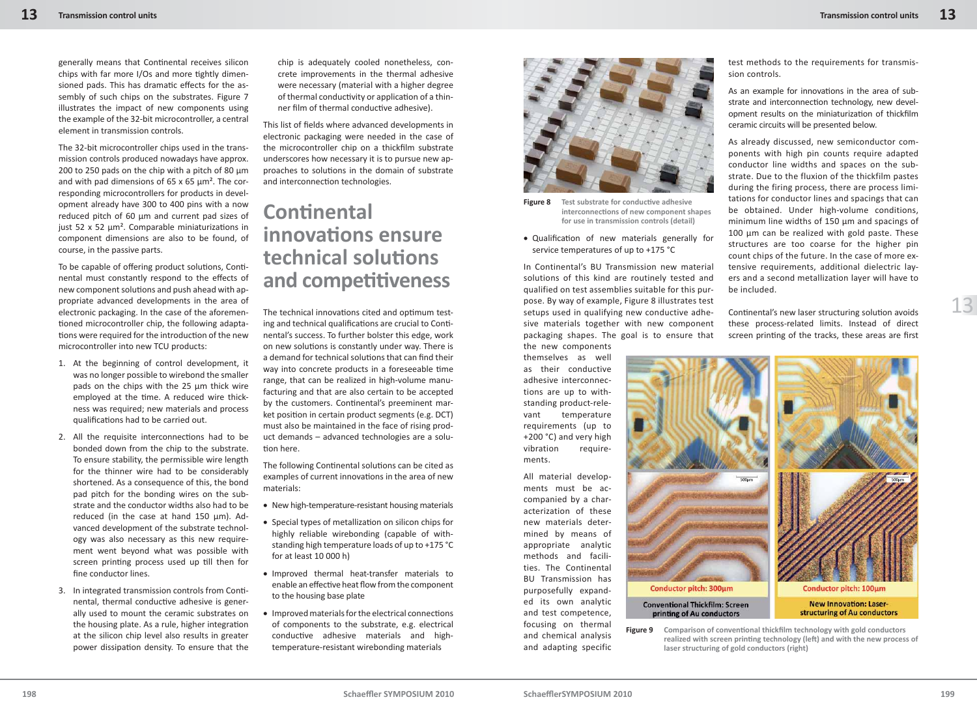generally means that Continental receives silicon chips with far more I/Os and more tightly dimensioned pads. This has dramatic effects for the assembly of such chips on the substrates. Figure 7 illustrates the impact of new components using the example of the 32-bit microcontroller, a central element in transmission controls.

The 32-bit microcontroller chips used in the transmission controls produced nowadays have approx. 200 to 250 pads on the chip with a pitch of 80 μm and with pad dimensions of 65 x 65 μm². The corresponding microcontrollers for products in development already have 300 to 400 pins with a now reduced pitch of 60 μm and current pad sizes of just 52 x 52  $μm²$ . Comparable miniaturizations in component dimensions are also to be found, of course, in the passive parts.

To be capable of offering product solutions, Continental must constantly respond to the effects of new component solutions and push ahead with appropriate advanced developments in the area of electronic packaging. In the case of the aforementioned microcontroller chip, the following adaptations were required for the introduction of the new microcontroller into new TCU products:

- 1. At the beginning of control development, it was no longer possible to wirebond the smaller pads on the chips with the 25 μm thick wire employed at the time. A reduced wire thickness was required; new materials and process qualifications had to be carried out.
- 2. All the requisite interconnections had to be bonded down from the chip to the substrate. To ensure stability, the permissible wire length for the thinner wire had to be considerably shortened. As a consequence of this, the bond pad pitch for the bonding wires on the substrate and the conductor widths also had to be reduced (in the case at hand 150 μm). Advanced development of the substrate technology was also necessary as this new requirement went beyond what was possible with screen printing process used up till then for fine conductor lines.
- 3. In integrated transmission controls from Continental, thermal conductive adhesive is generally used to mount the ceramic substrates on the housing plate. As a rule, higher integration at the silicon chip level also results in greater power dissipation density. To ensure that the

chip is adequately cooled nonetheless, concrete improvements in the thermal adhesive were necessary (material with a higher degree of thermal conductivity or application of a thinner film of thermal conductive adhesive).

This list of fields where advanced developments in electronic packaging were needed in the case of the microcontroller chip on a thickfilm substrate underscores how necessary it is to pursue new approaches to solutions in the domain of substrate and interconnection technologies.

### **Conti nental innovati ons ensure technical soluti ons and competiti veness**

The technical innovations cited and optimum testing and technical qualifications are crucial to Continental's success. To further bolster this edge, work on new solutions is constantly under way. There is a demand for technical solutions that can find their way into concrete products in a foreseeable time range, that can be realized in high-volume manufacturing and that are also certain to be accepted by the customers. Continental's preeminent market position in certain product segments (e.g. DCT) must also be maintained in the face of rising product demands – advanced technologies are a solution here.

The following Continental solutions can be cited as examples of current innovations in the area of new materials:

- New high-temperature-resistant housing materials
- Special types of metallization on silicon chips for highly reliable wirebonding (capable of withstanding high temperature loads of up to +175 °C for at least 10 000 h)
- Improved thermal heat-transfer materials to enable an effective heat flow from the component to the housing base plate
- $\bullet$  Improved materials for the electrical connections of components to the substrate, e.g. electrical conductive adhesive materials and hightemperature-resistant wirebonding materials



**Figure 8** Test substrate for conductive adhesive **interconnecti ons of new component shapes for use in transmission controls (detail)**

• Qualification of new materials generally for service temperatures of up to +175 °C

In Continental's BU Transmission new material solutions of this kind are routinely tested and qualified on test assemblies suitable for this purpose. By way of example, Figure 8 illustrates test setups used in qualifying new conductive adhesive materials together with new component packaging shapes. The goal is to ensure that

the new components themselves as well as their conductive adhesive interconnections are up to withstanding product-relevant temperature requirements (up to +200 °C) and very high vibration requirements.

All material developments must be accompanied by a characterization of these new materials determined by means of appropriate analytic methods and facilities. The Continental BU Transmission has purposefully expanded its own analytic and test competence, focusing on thermal and chemical analysis and adapting specific test methods to the requirements for transmission controls.

As an example for innovations in the area of substrate and interconnection technology, new development results on the miniaturization of thickfilm ceramic circuits will be presented below.

As already discussed, new semiconductor components with high pin counts require adapted conductor line widths and spaces on the substrate. Due to the fluxion of the thickfilm pastes during the firing process, there are process limitations for conductor lines and spacings that can be obtained. Under high-volume conditions, minimum line widths of 150 μm and spacings of 100 μm can be realized with gold paste. These structures are too coarse for the higher pin count chips of the future. In the case of more extensive requirements, additional dielectric layers and a second metallization layer will have to be included.

Continental's new laser structuring solution avoids these process-related limits. Instead of direct screen printing of the tracks, these areas are first



**Figure 9** Comparison of conventional thickfilm technology with gold conductors realized with screen printing technology (left) and with the new process of **laser structuring of gold conductors (right)**

**Schaeffl er SYMPOSIUM 2010**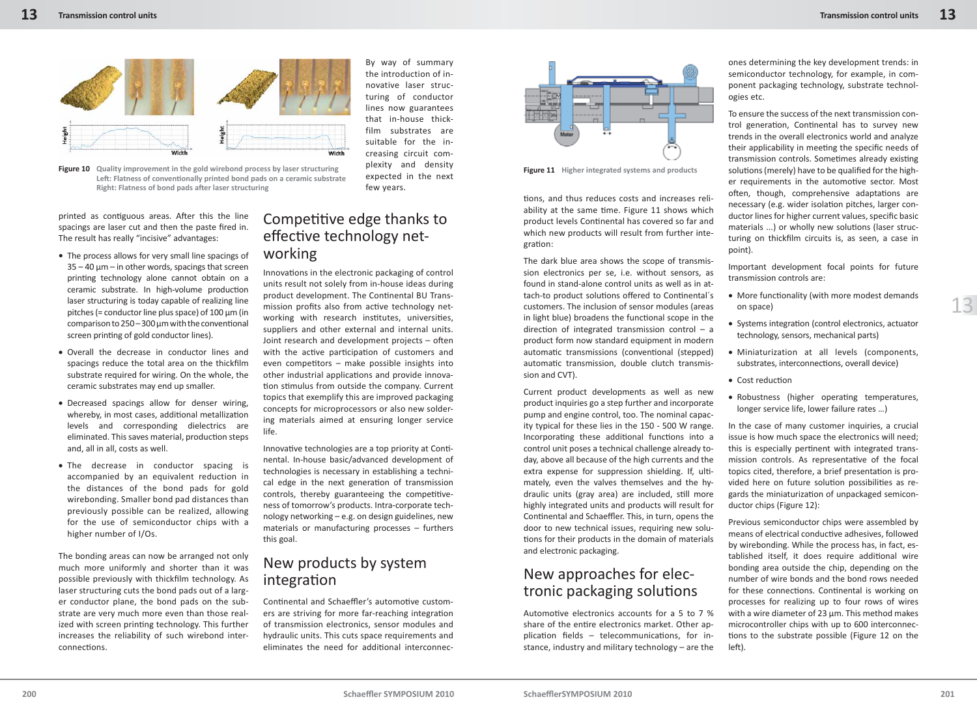

**Figure 10** Quality improvement in the gold wirebond process by laser structuring **Figure 11 Figure 11** Higher integrated systems and products Left: Flatness of conventionally printed bond pads on a ceramic substrate **Right: Flatness of bond pads after laser structuring** 

printed as contiguous areas. After this the line spacings are laser cut and then the paste fired in. The result has really "incisive" advantages:

- The process allows for very small line spacings of  $35 - 40$   $\mu$ m – in other words, spacings that screen printing technology alone cannot obtain on a ceramic substrate. In high-volume production laser structuring is today capable of realizing line pitches (= conductor line plus space) of  $100 \mu m$  (in comparison to  $250 - 300$  um with the conventional screen printing of gold conductor lines).
- Overall the decrease in conductor lines and spacings reduce the total area on the thickfilm substrate required for wiring. On the whole, the ceramic substrates may end up smaller.
- Decreased spacings allow for denser wiring, whereby, in most cases, additional metallization levels and corresponding dielectrics are eliminated. This saves material, production steps and, all in all, costs as well.
- The decrease in conductor spacing is accompanied by an equivalent reduction in the distances of the bond pads for gold wirebonding. Smaller bond pad distances than previously possible can be realized, allowing for the use of semiconductor chips with a higher number of I/Os.

The bonding areas can now be arranged not only much more uniformly and shorter than it was possible previously with thickfilm technology. As laser structuring cuts the bond pads out of a larger conductor plane, the bond pads on the substrate are very much more even than those realized with screen printing technology. This further increases the reliability of such wirebond interconnections.

Competitive edge thanks to effective technology networking

few years.

By way of summary the introduction of innovative laser structuring of conductor lines now guarantees that in-house thickfilm substrates are suitable for the increasing circuit complexity and density expected in the next

Innovations in the electronic packaging of control units result not solely from in-house ideas during product development. The Continental BU Transmission profits also from active technology networking with research institutes, universities, suppliers and other external and internal units. Joint research and development projects  $-$  often with the active participation of customers and even competitors – make possible insights into other industrial applications and provide innovation stimulus from outside the company. Current topics that exemplify this are improved packaging concepts for microprocessors or also new soldering materials aimed at ensuring longer service life.

Innovative technologies are a top priority at Continental. In-house basic/advanced development of technologies is necessary in establishing a technical edge in the next generation of transmission controls, thereby guaranteeing the competitiveness of tomorrow's products. Intra-corporate technology networking – e.g. on design guidelines, new materials or manufacturing processes – furthers this goal.

#### New products by system integration

Continental and Schaeffler's automotive customers are striving for more far-reaching integration of transmission electronics, sensor modules and hydraulic units. This cuts space requirements and eliminates the need for additional interconnec-



tions, and thus reduces costs and increases reliability at the same time. Figure 11 shows which product levels Continental has covered so far and which new products will result from further integration:

The dark blue area shows the scope of transmission electronics per se, i.e. without sensors, as found in stand-alone control units as well as in attach-to product solutions offered to Continental's customers. The inclusion of sensor modules (areas in light blue) broadens the functional scope in the direction of integrated transmission control  $-$  a product form now standard equipment in modern automatic transmissions (conventional (stepped) automatic transmission, double clutch transmission and CVT).

Current product developments as well as new product inquiries go a step further and incorporate pump and engine control, too. The nominal capacity typical for these lies in the 150 - 500 W range. Incorporating these additional functions into a control unit poses a technical challenge already today, above all because of the high currents and the extra expense for suppression shielding. If, ultimately, even the valves themselves and the hydraulic units (gray area) are included, still more highly integrated units and products will result for Continental and Schaeffler. This, in turn, opens the door to new technical issues, requiring new solutions for their products in the domain of materials and electronic packaging.

### New approaches for electronic packaging solutions

Automotive electronics accounts for a 5 to 7 % share of the entire electronics market. Other application fields  $-$  telecommunications, for instance, industry and military technology – are the ones determining the key development trends: in semiconductor technology, for example, in component packaging technology, substrate technologies etc.

To ensure the success of the next transmission control generation, Continental has to survey new trends in the overall electronics world and analyze their applicability in meeting the specific needs of transmission controls. Sometimes already existing solutions (merely) have to be qualified for the higher requirements in the automotive sector. Most often, though, comprehensive adaptations are necessary (e.g. wider isolation pitches, larger conductor lines for higher current values, specific basic materials ...) or wholly new solutions (laser structuring on thickfilm circuits is, as seen, a case in point).

Important development focal points for future transmission controls are:

- More functionality (with more modest demands on space)
- Systems integration (control electronics, actuator technology, sensors, mechanical parts)
- Miniaturization at all levels (components, substrates, interconnections, overall device)
- Cost reduction
- Robustness (higher operating temperatures, longer service life, lower failure rates …)

In the case of many customer inquiries, a crucial issue is how much space the electronics will need; this is especially pertinent with integrated transmission controls. As representative of the focal topics cited, therefore, a brief presentation is provided here on future solution possibilities as regards the miniaturization of unpackaged semiconductor chips (Figure 12):

Previous semiconductor chips were assembled by means of electrical conductive adhesives, followed by wirebonding. While the process has, in fact, established itself, it does require additional wire bonding area outside the chip, depending on the number of wire bonds and the bond rows needed for these connections. Continental is working on processes for realizing up to four rows of wires with a wire diameter of 23 μm. This method makes microcontroller chips with up to 600 interconnections to the substrate possible (Figure 12 on the left).